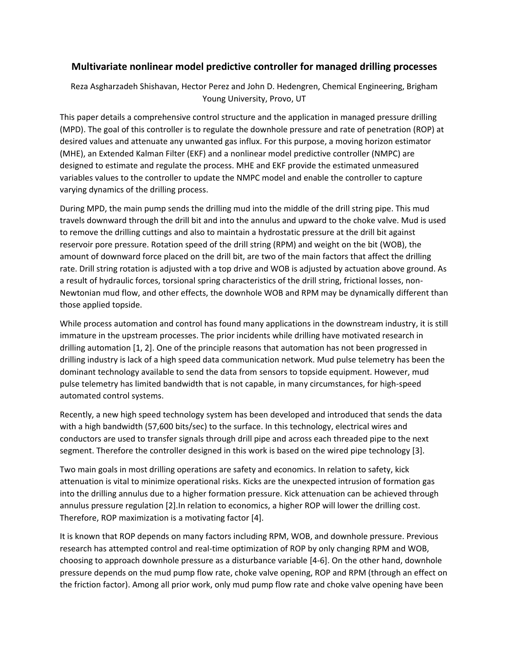## **Multivariate nonlinear model predictive controller for managed drilling processes**

Reza Asgharzadeh Shishavan, Hector Perez and John D. Hedengren, Chemical Engineering, Brigham Young University, Provo, UT

This paper details a comprehensive control structure and the application in managed pressure drilling (MPD). The goal of this controller is to regulate the downhole pressure and rate of penetration (ROP) at desired values and attenuate any unwanted gas influx. For this purpose, a moving horizon estimator (MHE), an Extended Kalman Filter (EKF) and a nonlinear model predictive controller (NMPC) are designed to estimate and regulate the process. MHE and EKF provide the estimated unmeasured variables values to the controller to update the NMPC model and enable the controller to capture varying dynamics of the drilling process.

During MPD, the main pump sends the drilling mud into the middle of the drill string pipe. This mud travels downward through the drill bit and into the annulus and upward to the choke valve. Mud is used to remove the drilling cuttings and also to maintain a hydrostatic pressure at the drill bit against reservoir pore pressure. Rotation speed of the drill string (RPM) and weight on the bit (WOB), the amount of downward force placed on the drill bit, are two of the main factors that affect the drilling rate. Drill string rotation is adjusted with a top drive and WOB is adjusted by actuation above ground. As a result of hydraulic forces, torsional spring characteristics of the drill string, frictional losses, non-Newtonian mud flow, and other effects, the downhole WOB and RPM may be dynamically different than those applied topside.

While process automation and control has found many applications in the downstream industry, it is still immature in the upstream processes. The prior incidents while drilling have motivated research in drilling automation [\[1,](#page-1-0) [2\]](#page-2-0). One of the principle reasons that automation has not been progressed in drilling industry is lack of a high speed data communication network. Mud pulse telemetry has been the dominant technology available to send the data from sensors to topside equipment. However, mud pulse telemetry has limited bandwidth that is not capable, in many circumstances, for high-speed automated control systems.

Recently, a new high speed technology system has been developed and introduced that sends the data with a high bandwidth (57,600 bits/sec) to the surface. In this technology, electrical wires and conductors are used to transfer signals through drill pipe and across each threaded pipe to the next segment. Therefore the controller designed in this work is based on the wired pipe technology [\[3\]](#page-2-1).

Two main goals in most drilling operations are safety and economics. In relation to safety, kick attenuation is vital to minimize operational risks. Kicks are the unexpected intrusion of formation gas into the drilling annulus due to a higher formation pressure. Kick attenuation can be achieved through annulus pressure regulation [\[2\]](#page-2-0).In relation to economics, a higher ROP will lower the drilling cost. Therefore, ROP maximization is a motivating factor [\[4\]](#page-2-2).

It is known that ROP depends on many factors including RPM, WOB, and downhole pressure. Previous research has attempted control and real-time optimization of ROP by only changing RPM and WOB, choosing to approach downhole pressure as a disturbance variable [\[4-6\]](#page-2-2). On the other hand, downhole pressure depends on the mud pump flow rate, choke valve opening, ROP and RPM (through an effect on the friction factor). Among all prior work, only mud pump flow rate and choke valve opening have been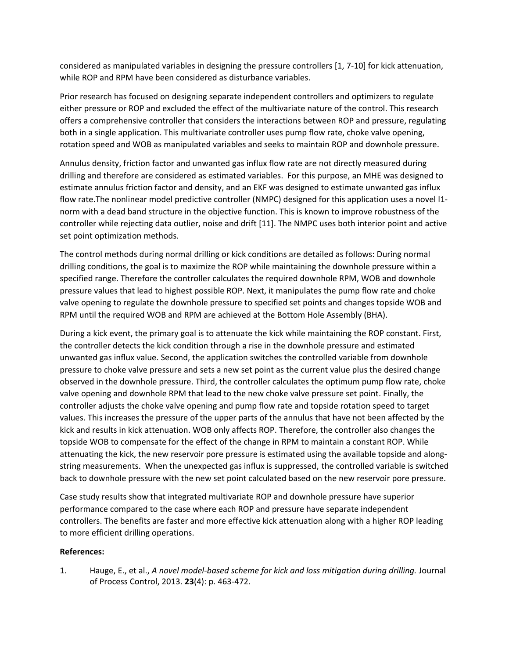considered as manipulated variables in designing the pressure controllers [\[1,](#page-1-0) [7-10\]](#page-2-3) for kick attenuation, while ROP and RPM have been considered as disturbance variables.

Prior research has focused on designing separate independent controllers and optimizers to regulate either pressure or ROP and excluded the effect of the multivariate nature of the control. This research offers a comprehensive controller that considers the interactions between ROP and pressure, regulating both in a single application. This multivariate controller uses pump flow rate, choke valve opening, rotation speed and WOB as manipulated variables and seeks to maintain ROP and downhole pressure.

Annulus density, friction factor and unwanted gas influx flow rate are not directly measured during drilling and therefore are considered as estimated variables. For this purpose, an MHE was designed to estimate annulus friction factor and density, and an EKF was designed to estimate unwanted gas influx flow rate.The nonlinear model predictive controller (NMPC) designed for this application uses a novel l1 norm with a dead band structure in the objective function. This is known to improve robustness of the controller while rejecting data outlier, noise and drift [\[11\]](#page-2-4). The NMPC uses both interior point and active set point optimization methods.

The control methods during normal drilling or kick conditions are detailed as follows: During normal drilling conditions, the goal is to maximize the ROP while maintaining the downhole pressure within a specified range. Therefore the controller calculates the required downhole RPM, WOB and downhole pressure values that lead to highest possible ROP. Next, it manipulates the pump flow rate and choke valve opening to regulate the downhole pressure to specified set points and changes topside WOB and RPM until the required WOB and RPM are achieved at the Bottom Hole Assembly (BHA).

During a kick event, the primary goal is to attenuate the kick while maintaining the ROP constant. First, the controller detects the kick condition through a rise in the downhole pressure and estimated unwanted gas influx value. Second, the application switches the controlled variable from downhole pressure to choke valve pressure and sets a new set point as the current value plus the desired change observed in the downhole pressure. Third, the controller calculates the optimum pump flow rate, choke valve opening and downhole RPM that lead to the new choke valve pressure set point. Finally, the controller adjusts the choke valve opening and pump flow rate and topside rotation speed to target values. This increases the pressure of the upper parts of the annulus that have not been affected by the kick and results in kick attenuation. WOB only affects ROP. Therefore, the controller also changes the topside WOB to compensate for the effect of the change in RPM to maintain a constant ROP. While attenuating the kick, the new reservoir pore pressure is estimated using the available topside and alongstring measurements. When the unexpected gas influx is suppressed, the controlled variable is switched back to downhole pressure with the new set point calculated based on the new reservoir pore pressure.

Case study results show that integrated multivariate ROP and downhole pressure have superior performance compared to the case where each ROP and pressure have separate independent controllers. The benefits are faster and more effective kick attenuation along with a higher ROP leading to more efficient drilling operations.

## **References:**

<span id="page-1-0"></span>1. Hauge, E., et al., *A novel model-based scheme for kick and loss mitigation during drilling.* Journal of Process Control, 2013. **23**(4): p. 463-472.